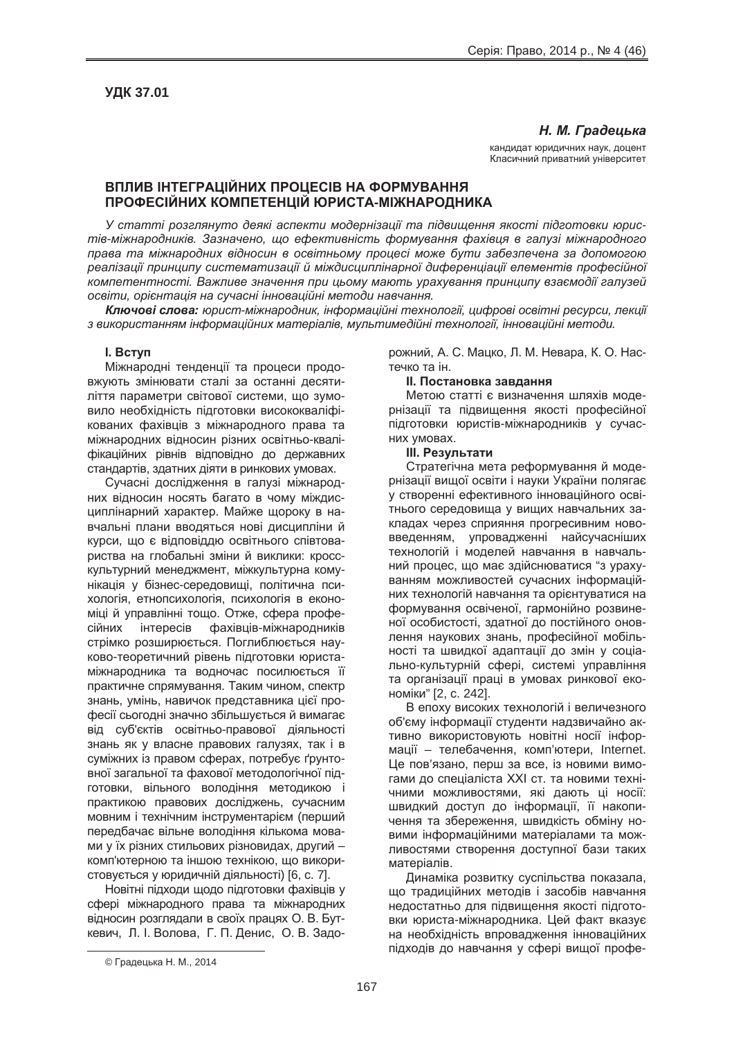## **Н. М. Градецька**

кандидат юридичних наук, доцент Класичний приватний університет

# **ȼɉɅɂȼ ȱɇɌȿȽɊȺɐȱɃɇɂɏ ɉɊɈɐȿɋȱȼ ɇȺ ɎɈɊɆɍȼȺɇɇə ɉɊɈɎȿɋȱɃɇɂɏ ɄɈɆɉȿɌȿɇɐȱɃ ɘɊɂɋɌȺ-ɆȱɀɇȺɊɈȾɇɂɄȺ**

У статті розглянуто деякі аспекти модернізації та підвишення якості підготовки юристів-міжнародників. Зазначено, що ефективність формування фахівия в галузі міжнародного лрава та міжнародних відносин в освітньому процесі може бути забезпечена за допомогою  $p$ еалізації принципу систематизації й міждисциплінарної диференціації елементів професійної **компетентності. Важливе значення при цьому мають урахування принципу взаємодії галузей**  $\overline{a}$  *воентація на сучасні інноваційні методи навчання.* 

**Ключові слова:** юрист-міжнародник, інформаційні технології, цифрові освітні ресурси, лекції з використанням інформаційних матеріалів, мультимедійні технології, інноваційні методи.

### **l.** BCTVN

Міжнародні тенденції та процеси продовжують змінювати сталі за останні десятиліття параметри світової системи, що зумовило необхідність підготовки висококваліфікованих фахівців з міжнародного права та міжнародних відносин різних освітньо-кваліфікаційних рівнів відповідно до державних .<br>стандартів, здатних діяти в ринкових умовах.

Сучасні дослідження в галузі міжнародних відносин носять багато в чому міждисциплінарний характер. Майже шороку в навчальні плани вводяться нові дисципліни й курси, що є відповіддю освітнього співтовариства на глобальні зміни й виклики: кросскультурний менеджмент, міжкультурна комунікація у бізнес-середовищі, політична психологія, етнопсихологія, психологія в економіці й управлінні тощо. Отже, сфера професійних інтересів фахівців-міжнародників стрімко розширюється. Поглиблюється науково-теоретичний рівень підготовки юристаміжнародника та водночас посилюється її практичне спрямування. Таким чином, спектр знань, умінь, навичок представника цієї професії сьогодні значно збільшується й вимагає від суб'єктів освітньо-правової діяльності знань як у власне правових галузях, так і в суміжних із правом сферах, потребує ґрунтовної загальної та фахової методологічної підготовки, вільного володіння методикою і практикою правових досліджень, сучасним мовним і технічним інструментарієм (перший передбачає вільне володіння кількома мовами у їх різних стильових різновидах, другий – комп'ютерною та іншою технікою, що використовується у юридичній діяльності) [6, с. 7].

Новітні підходи щодо підготовки фахівців у сфері міжнародного права та міжнародних відносин розглядали в своїх працях О. В. Буткевич, Л. І. Волова, Г. П. Денис, О. В. Задорожний, А. С. Мацко, Л. М. Невара, К. О. Настечко та ін.

### $II.$  Постановка завдання

Метою статті є визначення шляхів модернізації та підвищення якості професійної підготовки юристів-міжнародників у сучасних умовах.

### **III. Результати**

Стратегічна мета реформування й модернізації вишої освіти і науки України полягає у створенні ефективного інноваційного освітнього середовища у вищих навчальних закладах через сприяння прогресивним нововведенням, упровадженні найсучасніших технологій і моделей навчання в навчальний процес, що має здійснюватися "з урахуванням можливостей сучасних інформаційних технологій навчання та орієнтуватися на формування освіченої, гармонійно розвиненої особистості, здатної до постійного оновлення наукових знань, професійної мобільності та швидкої адаптації до змін у соціально-культурній сфері, системі управління та організації праці в умовах ринкової економіки" [2, с. 242].

В епоху високих технологій і величезного об'єму інформації студенти надзвичайно активно використовують новітні носії інформації – телебачення, комп'ютери, Internet. Це пов'язано, перш за все, із новими вимогами до спеціаліста XXI ст. та новими техні-ЧНИМИ МОЖЛИВОСТЯМИ. ЯКІ ДАЮТЬ ЦІ НОСІЇ: швидкий доступ до інформації. Її накопичення та збереження, швидкість обміну новими інформаційними матеріалами та можливостями створення доступної бази таких матеріалів.

Динаміка розвитку суспільства показала, що традиційних методів і засобів навчання недостатньо для підвищення якості підготовки юриста-міжнародника. Цей факт вказує на необхідність впровадження інноваційних підходів до навчання у сфері вищої профе-

 $\overline{a}$ 

<sup>©</sup> Градецька Н. М., 2014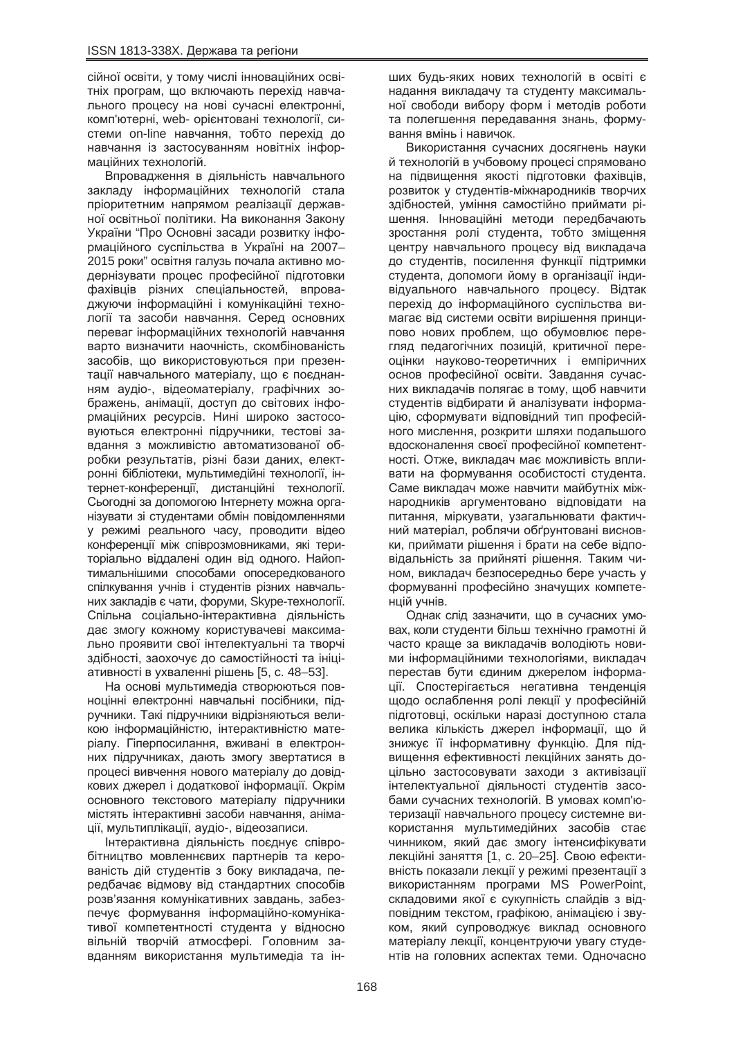сійної освіти, у тому числі інноваційних освітніх програм, що включають перехід навчального процесу на нові сучасні електронні, комп'ютерні, web- орієнтовані технології, системи on-line навчання, тобто перехід до HАВЧАННЯ ІЗ ЗАСТОСУВАННЯМ НОВІТНІХ ІНФОРмаційних технологій.

Впровадження в діяльність навчального закладу інформаційних технологій стала пріоритетним напрямом реалізації державної освітньої політики. На виконання Закону України "Про Основні засади розвитку інформаційного суспільства в Україні на 2007– 2015 роки" освітня галузь почала активно модернізувати процес професійної підготовки фахівців різних спеціальностей, впроваджуючи інформаційні і комунікаційні технології та засоби навчання. Серед основних переваг інформаційних технологій навчання варто визначити наочність, скомбінованість засобів, що використовуються при презентації навчального матеріалу, що є поєднанням ayдio-, відеоматеріалу, графічних зображень, анімації, доступ до світових інформаційних ресурсів. Нині широко застосовуються електронні підручники, тестові завдання з можливістю автоматизованої обробки результатів, різні бази даних, електронні бібліотеки, мультимедійні технології, інтернет-конференції, дистанційні технології. Сьогодні за допомогою Інтернету можна організувати зі студентами обмін повідомленнями у режимі реального часу, проводити відео конференції між співрозмовниками, які територіально віддалені один від одного. Найоптимальнішими способами опосередкованого спілкування учнів і студентів різних навчальних закладів є чати, форуми, Skype-технології, Спільна соціально-інтерактивна діяльність дає змогу кожному користувачеві максимально проявити свої інтелектуальні та творчі здібності, заохочує до самостійності та ініціативності в ухваленні рішень [5, с. 48–53].

На основі мультимедіа створюються повноцінні електронні навчальні посібники, підручники. Такі підручники відрізняються великою інформаційністю, інтерактивністю матеріалу. Гіперпосилання, вживані в електронних підручниках, дають змогу звертатися в процесі вивчення нового матеріалу до довідкових джерел і додаткової інформації. Окрім основного текстового матеріалу підручники містять інтерактивні засоби навчання, анімації, мультиплікації, аудіо-, відеозаписи.

Інтерактивна діяльність поєднує співробітництво мовленнєвих партнерів та керованість дій студентів з боку викладача, передбачає відмову від стандартних способів розв'язання комунікативних завдань, забезпечує формування інформаційно-комунікативої компетентності студента у відносно вільній творчій атмосфері. Головним завданням використання мультимедіа та інших будь-яких нових технологій в освіті є надання викладачу та студенту максимальної свободи вибору форм і методів роботи та полегшення передавання знань, формування вмінь і навичок.

Використання сучасних досягнень науки й технологій в учбовому процесі спрямовано на підвищення якості підготовки фахівців, розвиток у студентів-міжнародників творчих здібностей, уміння самостійно приймати рішення. Інноваційні методи передбачають зростання ролі студента, тобто зміщення центру навчального процесу від викладача до студентів, посилення функції підтримки студента, допомоги йому в організації індивідуального навчального процесу. Відтак перехід до інформаційного суспільства вимагає від системи освіти вирішення принципово нових проблем, що обумовлює перегляд педагогічних позицій, критичної переоцінки науково-теоретичних і емпіричних основ професійної освіти. Завдання сучасних викладачів полягає в тому, щоб навчити студентів відбирати й аналізувати інформацію, сформувати відповідний тип професійного мислення, розкрити шляхи подальшого вдосконалення своєї професійної компетентності. Отже, викладач має можливість впливати на формування особистості студента. Саме викладач може навчити майбутніх міжнародників аргументовано відповідати на питання, міркувати, узагальнювати фактичний матеріал, роблячи обґрунтовані висновки, приймати рішення і брати на себе відповідальність за прийняті рішення. Таким чином, викладач безпосередньо бере участь у формуванні професійно значущих компетенцій учнів.

Однак слід зазначити, що в сучасних умовах, коли студенти більш технічно грамотні й часто краше за викладачів володіють новими інформаційними технологіями, викладач перестав бути єдиним джерелом інформації. Спостерігається негативна тенденція щодо ослаблення ролі лекції у професійній підготовці, оскільки наразі доступною стала велика кількість джерел інформації, що й знижує її інформативну функцію. Для підвищення ефективності лекційних занять доцільно застосовувати заходи з активізації інтелектуальної діяльності студентів засобами сучасних технологій. В умовах комп'ютеризації навчального процесу системне використання мультимедійних засобів стає чинником, який дає змогу інтенсифікувати лекційні заняття [1, с. 20–25]. Свою ефективність показали лекції у режимі презентації з використанням програми MS PowerPoint, складовими якої є сукупність слайдів з відповідним текстом, графікою, анімацією і звуком, який супроводжує виклад основного матеріалу лекції, концентруючи увагу студентів на головних аспектах теми. Одночасно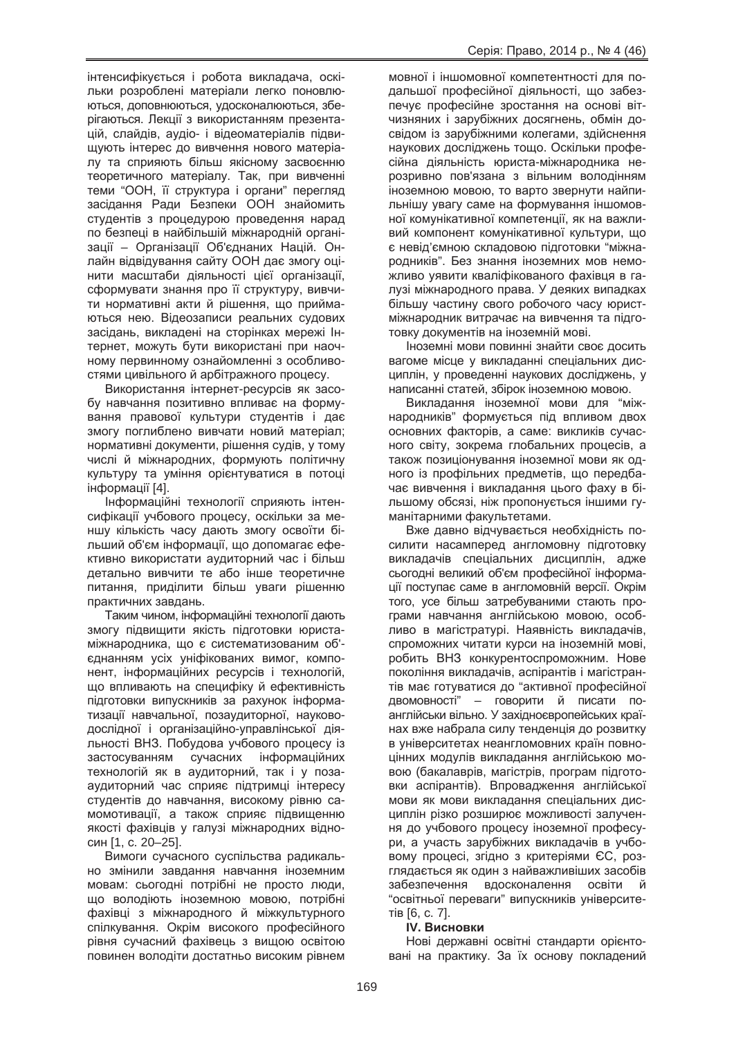інтенсифікується і робота викладача, оскільки розроблені матеріали легко поновлюються, доповнюються, удосконалюються, зберігаються. Лекції з використанням презентацій, слайдів, аудіо- і відеоматеріалів підвищують інтерес до вивчення нового матеріалу та сприяють більш якісному засвоєнню теоретичного матеріалу. Так, при вивченні теми "ООН, її структура і органи" перегляд засідання Ради Безпеки ООН знайомить студентів з процедурою проведення нарад по безпеці в найбільшій міжнародній організації – Організації Об'єднаних Націй. Онлайн відвідування сайту ООН дає змогу оцінити масштаби діяльності цієї організації, сформувати знання про її структуру, вивчити нормативні акти й рішення, що приймаються нею. Відеозаписи реальних судових засідань, викладені на сторінках мережі Інтернет, можуть бути використані при наочному первинному ознайомленні з особливостями цивільного й арбітражного процесу.

Використання інтернет-ресурсів як засобу навчання позитивно впливає на формування правової культури студентів і дає змогу поглиблено вивчати новий матеріал: нормативні документи, рішення судів, у тому числі й міжнародних, формують політичну культуру та уміння орієнтуватися в потоці інформації [4].

Інформаційні технології сприяють інтенсифікації учбового процесу, оскільки за меншу кількість часу дають змогу освоїти більший об'єм інформації, що допомагає ефективно використати аудиторний час і більш детально вивчити те або інше теоретичне питання, приділити більш уваги рішенню практичних завдань.

Таким чином, інформаційні технології дають змогу підвишити якість підготовки юристаміжнародника. шо є систематизованим об'єднанням усіх уніфікованих вимог, компонент, інформаційних ресурсів і технологій, що впливають на специфіку й ефективність підготовки випускників за рахунок інформатизації навчальної, позаудиторної, науководослідної і організаційно-управлінської діяльності ВНЗ. Побудова учбового процесу із застосуванням сучасних інформаційних технологій як в аудиторний, так і у позааудиторний час сприяє підтримці інтересу студентів до навчання, високому рівню самомотивації, а також сприяє підвищенню якості фахівців у галузі міжнародних відносин [1, с. 20–25].

Вимоги сучасного суспільства радикально змінили завдання навчання іноземним мовам: сьогодні потрібні не просто люди, що володіють іноземною мовою, потрібні фахівці з міжнародного й міжкультурного спілкування. Окрім високого професійного рівня сучасний фахівець з вишою освітою повинен володіти достатньо високим рівнем

мовної і іншомовної компетентності для подальшої професійної діяльності, що забезпечує професійне зростання на основі вітчизняних і зарубіжних досягнень, обмін досвідом із зарубіжними колегами, здійснення наукових досліджень тощо. Оскільки професійна діяльність юриста-міжнародника нерозривно пов'язана з вільним володінням іноземною мовою, то варто звернути найпильнішу увагу саме на формування іншомовної комунікативної компетенції, як на важливий компонент комунікативної культури, що є невід'ємною складовою підготовки "міжнародників". Без знання іноземних мов неможливо уявити кваліфікованого фахівця в галузі міжнародного права. У деяких випадках більшу частину свого робочого часу юристміжнародник витрачає на вивчення та підготовку документів на іноземній мові.

Ноземні мови повинні знайти своє досить вагоме місце у викладанні спеціальних дисциплін, у проведенні наукових досліджень, у написанні статей, збірок іноземною мовою.

Викладання іноземної мови для "міжнародників" формується під впливом двох основних факторів, а саме: викликів сучасного світу, зокрема глобальних процесів, а також позиціонування іноземної мови як одного із профільних предметів, що передбачає вивчення і викладання цього фаху в більшому обсязі, ніж пропонується іншими гуманітарними факультетами.

Вже давно відчувається необхідність посилити насамперед англомовну підготовку викладачів спеціальних дисциплін, адже сьогодні великий об'єм професійної інформації поступає саме в англомовній версії. Окрім того, усе більш затребуваними стають програми навчання англійською мовою, особливо в магістратурі. Наявність викладачів. спроможних читати курси на іноземній мові. робить ВНЗ конкурентоспроможним. Нове покоління викладачів, аспірантів і магістрантів має готуватися до "активної професійної двомовності" – говорити й писати поанглійськи вільно. У західноєвропейських країнах вже набрала силу тенденція до розвитку в університетах неангломовних країн повноцінних модулів викладання англійською мовою (бакалаврів, магістрів, програм підготовки аспірантів). Впровадження англійської мови як мови викладання спеціальних дисциплін різко розширює можливості залучення до учбового процесу іноземної професури, а участь зарубіжних викладачів в учбовому процесі, згідно з критеріями ЄС, розглядається як один з найважливіших засобів забезпечення вдосконалення освіти й "освітньої переваги" випускників університе-TİB [6, c. 7].

# **IV. Висновки**

Нові державні освітні стандарти орієнтовані на практику. За їх основу покладений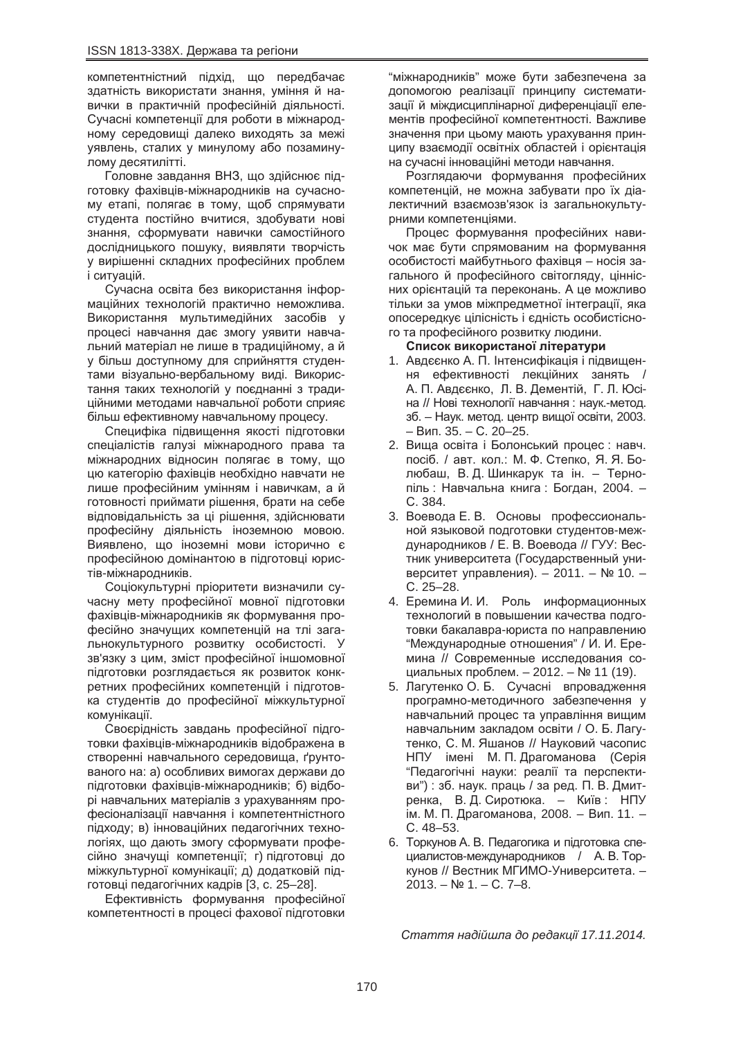компетентністний підхід, що передбачає здатність використати знання, уміння й навички в практичній професійній діяльності. Сучасні компетенції для роботи в міжнародному середовищі далеко виходять за межі уявлень, сталих у минулому або позаминулому десятилітті.

Головне завдання ВНЗ, що здійснює підготовку фахівців-міжнародників на сучасному етапі, полягає в тому, щоб спрямувати студента постійно вчитися, здобувати нові знання, сформувати навички самостійного дослідницького пошуку, виявляти творчість у вирішенні складних професійних проблем і ситуацій.

Сучасна освіта без використання інформаційних технологій практично неможлива. Використання мультимедійних засобів у процесі навчання дає змогу уявити навчальний матеріал не лише в традиційному, а й у більш доступному для сприйняття студентами візуально-вербальному виді. Використання таких технологій у поєднанні з традиційними методами навчальної роботи сприяє більш ефективному навчальному процесу.

Специфіка підвищення якості підготовки спеціалістів галузі міжнародного права та міжнародних відносин полягає в тому, що цю категорію фахівців необхідно навчати не лише професійним умінням і навичкам, а й готовності приймати рішення, брати на себе відповідальність за ці рішення, здійснювати професійну діяльність іноземною мовою. Виявлено, що іноземні мови історично є професійною домінантою в підготовці юристів-міжнародників.

Соціокультурні пріоритети визначили сучасну мету професійної мовної підготовки фахівців-міжнародників як формування професійно значуших компетенцій на тлі загальнокультурного розвитку особистості. У зв'язку з цим, зміст професійної іншомовної підготовки розглядається як розвиток конкретних професійних компетенцій і підготовка студентів до професійної міжкультурної комунікації.

Своєрідність завдань професійної підготовки фахівців-міжнародників відображена в створенні навчального середовища, ґрунтованого на: а) особливих вимогах держави до підготовки фахівців-міжнародників; б) відборі навчальних матеріалів з урахуванням професіоналізації навчання і компетентністного підходу; в) інноваційних педагогічних технологіях, що дають змогу сформувати професійно значущі компетенції; г) підготовці до міжкультурної комунікації; д) додатковій підготовці педагогічних кадрів [3, с. 25–28].

Ефективність формування професійної компетентності в процесі фахової підготовки

"міжнародників" може бути забезпечена за допомогою реалізації принципу систематизації й міждисциплінарної диференціації елементів професійної компетентності. Важливе значення при цьому мають урахування принципу взаємодії освітніх областей і орієнтація на сучасні інноваційні методи навчання.

Розглядаючи формування професійних компетенцій, не можна забувати про їх діалектичний взаємозв'язок із загальнокультурними компетенціями.

Процес формування професійних навичок має бути спрямованим на формування особистості майбутнього фахівця - носія загального й професійного світогляду, ціннісних орієнтацій та переконань. А це можливо тільки за умов міжпредметної інтеграції, яка опосередкує цілісність і єдність особистісного та професійного розвитку людини.

### Список використаної літератури

- 1. Авдєєнко А. П. Інтенсифікація і підвищення ефективності лекційних занять / А. П. Авдєєнко, Л. В. Дементій, Г. Л. Юсіна // Нові технології навчання : наук.-метод. зб. – Наук. метод. центр вищої освіти, 2003.  $-$  Вип. 35. – С. 20–25.
- 2. Вища освіта і Болонський процес: навч. посіб. / авт. кол.: М. Ф. Степко, Я. Я. Болюбаш, В.Д. Шинкарук та ін. – Тернопіль: Навчальна книга: Богдан, 2004. – ɋ. 384.
- 3. Воевода Е. В. Основы профессиональной языковой подготовки студентов-международников / Е. В. Воевода // ГУУ: Вестник университета (Государственный университет управления). – 2011. – № 10. – ɋ. 25–28.
- 4. Еремина И. И. Роль информационных технологий в повышении качества подготовки бакалавра-юриста по направлению "Международные отношения" / И. И. Еремина // Современные исследования социальных проблем. - 2012. - № 11 (19).
- 5. Лагутенко О. Б. Сучасні впровадження програмно-методичного забезпечення у навчальний процес та управління вищим навчальним закладом освіти / О. Б. Лагутенко, С. М. Яшанов // Науковий часопис НПУ імені М. П. Драгоманова (Серія "Педагогічні науки: реалії та перспективи") : зб. наук. праць / за ред. П. В. Дмитренка, В.Д. Сиротюка. – Київ: НПУ ім. М. П. Драгоманова, 2008. – Вип. 11. – ɋ. 48–53.
- 6. Торкунов А. В. Педагогика и підготовка специалистов-международников / А. В. Торкунов // Вестник МГИМО-Университета. –  $2013. - N91. - C. 7-8.$

*ɋɬɚɬɬɹ ɧɚɞɿɣɲɥɚ ɞɨ ɪɟɞɚɤɰɿʀ 17.11.2014.*